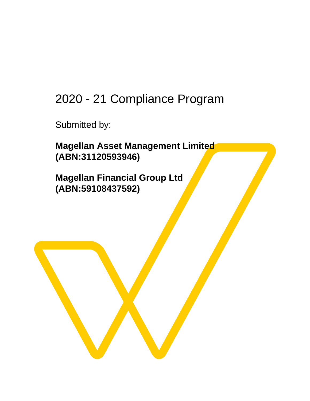# 2020 - 21 Compliance Program

Submitted by:

**Magellan Asset Management Limited (ABN:31120593946)**

**Magellan Financial Group Ltd (ABN:59108437592)**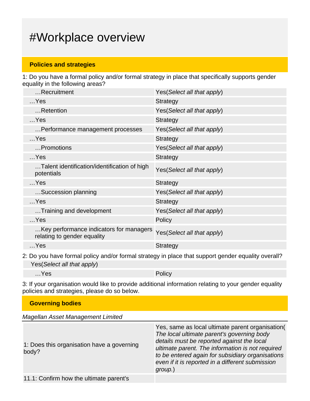## #Workplace overview

#### **Policies and strategies**

1: Do you have a formal policy and/or formal strategy in place that specifically supports gender equality in the following areas?

| Recruitment                                                            | Yes (Select all that apply) |
|------------------------------------------------------------------------|-----------------------------|
| $$ Yes                                                                 | <b>Strategy</b>             |
| Retention                                                              | Yes (Select all that apply) |
| $$ Yes                                                                 | <b>Strategy</b>             |
| Performance management processes                                       | Yes (Select all that apply) |
| $$ Yes                                                                 | <b>Strategy</b>             |
| Promotions                                                             | Yes (Select all that apply) |
| $$ Yes                                                                 | <b>Strategy</b>             |
| Talent identification/identification of high<br>potentials             | Yes(Select all that apply)  |
| $$ Yes                                                                 | <b>Strategy</b>             |
| Succession planning                                                    | Yes (Select all that apply) |
| $$ Yes                                                                 | <b>Strategy</b>             |
| Training and development                                               | Yes(Select all that apply)  |
| $$ Yes                                                                 | Policy                      |
| Key performance indicators for managers<br>relating to gender equality | Yes(Select all that apply)  |
| $$ Yes                                                                 | <b>Strategy</b>             |
|                                                                        |                             |

2: Do you have formal policy and/or formal strategy in place that support gender equality overall? Yes(Select all that apply)

…Yes Policy

3: If your organisation would like to provide additional information relating to your gender equality policies and strategies, please do so below.

| <b>Governing bodies</b>                             |                                                                                                                                                                                                                                                                                                                     |  |
|-----------------------------------------------------|---------------------------------------------------------------------------------------------------------------------------------------------------------------------------------------------------------------------------------------------------------------------------------------------------------------------|--|
| Magellan Asset Management Limited                   |                                                                                                                                                                                                                                                                                                                     |  |
| 1: Does this organisation have a governing<br>body? | Yes, same as local ultimate parent organisation(<br>The local ultimate parent's governing body<br>details must be reported against the local<br>ultimate parent. The information is not required<br>to be entered again for subsidiary organisations<br>even if it is reported in a different submission<br>group.) |  |

11.1: Confirm how the ultimate parent's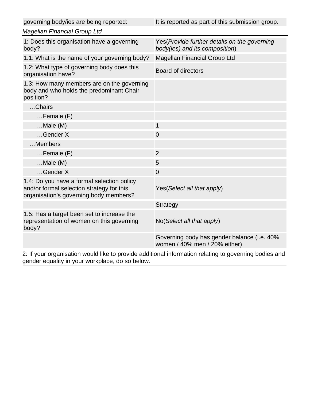| It is reported as part of this submission group.                                |
|---------------------------------------------------------------------------------|
|                                                                                 |
| Yes (Provide further details on the governing<br>body(ies) and its composition) |
| Magellan Financial Group Ltd                                                    |
| <b>Board of directors</b>                                                       |
|                                                                                 |
|                                                                                 |
|                                                                                 |
| $\mathbf{1}$                                                                    |
| $\overline{0}$                                                                  |
|                                                                                 |
| $\overline{2}$                                                                  |
| 5                                                                               |
| $\overline{0}$                                                                  |
| Yes(Select all that apply)                                                      |
| Strategy                                                                        |
| No(Select all that apply)                                                       |
| Governing body has gender balance (i.e. 40%<br>women / 40% men / 20% either)    |
|                                                                                 |

2: If your organisation would like to provide additional information relating to governing bodies and gender equality in your workplace, do so below.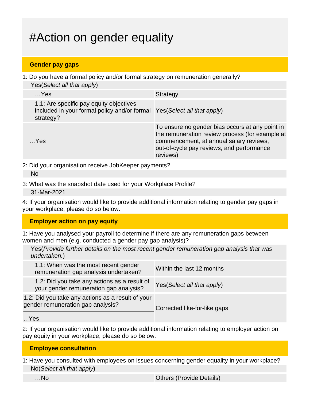# #Action on gender equality

### **Gender pay gaps**

1: Do you have a formal policy and/or formal strategy on remuneration generally? Yes(Select all that apply)

| $$ Yes                                                                                                                           | Strategy                                                                                                                                                                                               |
|----------------------------------------------------------------------------------------------------------------------------------|--------------------------------------------------------------------------------------------------------------------------------------------------------------------------------------------------------|
| 1.1: Are specific pay equity objectives<br>included in your formal policy and/or formal Yes (Select all that apply)<br>strategy? |                                                                                                                                                                                                        |
| …Yes                                                                                                                             | To ensure no gender bias occurs at any point in<br>the remuneration review process (for example at<br>commencement, at annual salary reviews,<br>out-of-cycle pay reviews, and performance<br>reviews) |
|                                                                                                                                  |                                                                                                                                                                                                        |

2: Did your organisation receive JobKeeper payments?

- 3: What was the snapshot date used for your Workplace Profile?
	- 31-Mar-2021

4: If your organisation would like to provide additional information relating to gender pay gaps in your workplace, please do so below.

#### **Employer action on pay equity**

1: Have you analysed your payroll to determine if there are any remuneration gaps between women and men (e.g. conducted a gender pay gap analysis)?

Yes(Provide further details on the most recent gender remuneration gap analysis that was undertaken.)

| 1.1: When was the most recent gender<br>remuneration gap analysis undertaken?          | Within the last 12 months    |
|----------------------------------------------------------------------------------------|------------------------------|
| 1.2: Did you take any actions as a result of<br>your gender remuneration gap analysis? | Yes (Select all that apply)  |
| 1.2: Did you take any actions as a result of your<br>gender remuneration gap analysis? | Corrected like-for-like gaps |

.. Yes

2: If your organisation would like to provide additional information relating to employer action on pay equity in your workplace, please do so below.

### **Employee consultation**

1: Have you consulted with employees on issues concerning gender equality in your workplace? No(Select all that apply)

No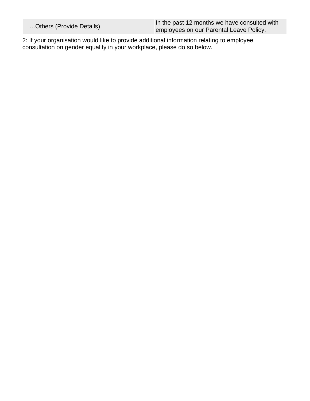…Others (Provide Details) **In the past 12 months we have consulted with**<br> **In the past 12 months we have consulted with** employees on our Parental Leave Policy.

2: If your organisation would like to provide additional information relating to employee consultation on gender equality in your workplace, please do so below.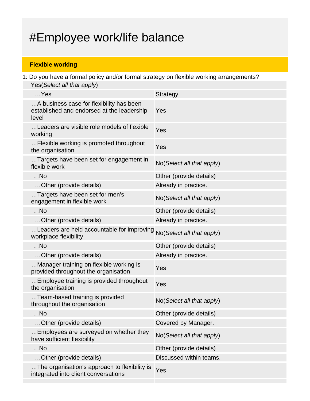# #Employee work/life balance

### **Flexible working**

1: Do you have a formal policy and/or formal strategy on flexible working arrangements? Yes(Select all that apply)

| $$ Yes                                                                                          | Strategy                  |
|-------------------------------------------------------------------------------------------------|---------------------------|
| A business case for flexibility has been<br>established and endorsed at the leadership<br>level | Yes                       |
| Leaders are visible role models of flexible<br>working                                          | Yes                       |
| Flexible working is promoted throughout<br>the organisation                                     | Yes                       |
| Targets have been set for engagement in<br>flexible work                                        | No(Select all that apply) |
| $$ No                                                                                           | Other (provide details)   |
| Other (provide details)                                                                         | Already in practice.      |
| Targets have been set for men's<br>engagement in flexible work                                  | No(Select all that apply) |
| $$ No                                                                                           | Other (provide details)   |
| Other (provide details)                                                                         | Already in practice.      |
| Leaders are held accountable for improving<br>workplace flexibility                             | No(Select all that apply) |
| $$ No                                                                                           | Other (provide details)   |
| Other (provide details)                                                                         | Already in practice.      |
| Manager training on flexible working is<br>provided throughout the organisation                 | Yes                       |
| Employee training is provided throughout<br>the organisation                                    | Yes                       |
| Team-based training is provided<br>throughout the organisation                                  | No(Select all that apply) |
| $$ No                                                                                           | Other (provide details)   |
| Other (provide details)                                                                         | Covered by Manager.       |
| Employees are surveyed on whether they<br>have sufficient flexibility                           | No(Select all that apply) |
| $$ No                                                                                           | Other (provide details)   |
| Other (provide details)                                                                         | Discussed within teams.   |
| The organisation's approach to flexibility is<br>integrated into client conversations           | Yes                       |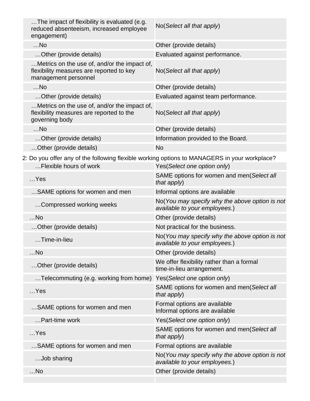| The impact of flexibility is evaluated (e.g.<br>reduced absenteeism, increased employee<br>engagement)           | No(Select all that apply)           |
|------------------------------------------------------------------------------------------------------------------|-------------------------------------|
| $$ No                                                                                                            | Other (provide details)             |
| Other (provide details)                                                                                          | Evaluated against performance.      |
| Metrics on the use of, and/or the impact of,<br>flexibility measures are reported to key<br>management personnel | No(Select all that apply)           |
| $$ No                                                                                                            | Other (provide details)             |
| Other (provide details)                                                                                          | Evaluated against team performance. |
| Metrics on the use of, and/or the impact of,<br>flexibility measures are reported to the<br>governing body       | No(Select all that apply)           |
| $$ No                                                                                                            | Other (provide details)             |
| Other (provide details)                                                                                          | Information provided to the Board.  |
| Other (provide details)                                                                                          | <b>No</b>                           |
|                                                                                                                  |                                     |

2: Do you offer any of the following flexible working options to MANAGERS in your workplace?

| Flexible hours of work                 | Yes(Select one option only)                                                     |
|----------------------------------------|---------------------------------------------------------------------------------|
| $$ Yes                                 | SAME options for women and men(Select all<br>that apply)                        |
| SAME options for women and men         | Informal options are available                                                  |
| Compressed working weeks               | No(You may specify why the above option is not<br>available to your employees.) |
| $$ No                                  | Other (provide details)                                                         |
| Other (provide details)                | Not practical for the business.                                                 |
| Time-in-lieu                           | No(You may specify why the above option is not<br>available to your employees.) |
| $$ No                                  | Other (provide details)                                                         |
| Other (provide details)                | We offer flexibility rather than a formal<br>time-in-lieu arrangement.          |
| Telecommuting (e.g. working from home) | Yes(Select one option only)                                                     |
| $$ Yes                                 | SAME options for women and men(Select all<br>that apply)                        |
| SAME options for women and men         | Formal options are available<br>Informal options are available                  |
| Part-time work                         | Yes(Select one option only)                                                     |
| $$ Yes                                 | SAME options for women and men(Select all<br>that apply)                        |
| SAME options for women and men         | Formal options are available                                                    |
| Job sharing                            | No(You may specify why the above option is not<br>available to your employees.) |
| $$ No                                  | Other (provide details)                                                         |
|                                        |                                                                                 |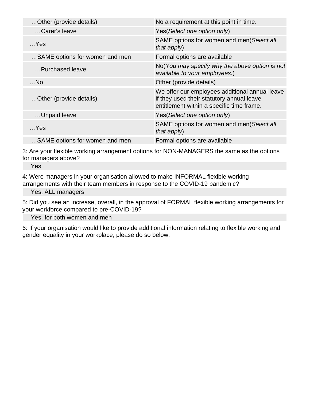| Other (provide details)        | No a requirement at this point in time.                                                                                                  |
|--------------------------------|------------------------------------------------------------------------------------------------------------------------------------------|
| Carer's leave                  | Yes(Select one option only)                                                                                                              |
| $$ Yes                         | SAME options for women and men(Select all<br>that apply)                                                                                 |
| SAME options for women and men | Formal options are available                                                                                                             |
| Purchased leave                | No(You may specify why the above option is not<br>available to your employees.)                                                          |
| $$ No                          | Other (provide details)                                                                                                                  |
| Other (provide details)        | We offer our employees additional annual leave<br>if they used their statutory annual leave<br>entitlement within a specific time frame. |
| Unpaid leave                   | Yes(Select one option only)                                                                                                              |
| $$ Yes                         | SAME options for women and men(Select all<br>that apply)                                                                                 |
| SAME options for women and men | Formal options are available                                                                                                             |

3: Are your flexible working arrangement options for NON-MANAGERS the same as the options for managers above?

Yes

4: Were managers in your organisation allowed to make INFORMAL flexible working arrangements with their team members in response to the COVID-19 pandemic?

Yes, ALL managers

5: Did you see an increase, overall, in the approval of FORMAL flexible working arrangements for your workforce compared to pre-COVID-19?

Yes, for both women and men

6: If your organisation would like to provide additional information relating to flexible working and gender equality in your workplace, please do so below.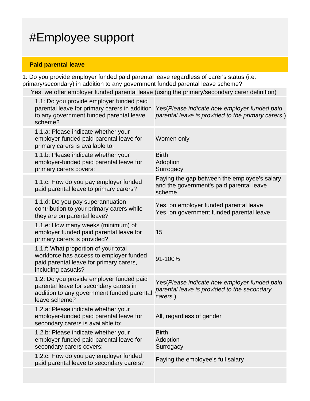# #Employee support

### **Paid parental leave**

1: Do you provide employer funded paid parental leave regardless of carer's status (i.e. primary/secondary) in addition to any government funded parental leave scheme?

Yes, we offer employer funded parental leave (using the primary/secondary carer definition)

| 1.1: Do you provide employer funded paid<br>parental leave for primary carers in addition<br>to any government funded parental leave<br>scheme?   | Yes (Please indicate how employer funded paid<br>parental leave is provided to the primary carers.)     |
|---------------------------------------------------------------------------------------------------------------------------------------------------|---------------------------------------------------------------------------------------------------------|
| 1.1.a: Please indicate whether your<br>employer-funded paid parental leave for<br>primary carers is available to:                                 | Women only                                                                                              |
| 1.1.b: Please indicate whether your<br>employer-funded paid parental leave for<br>primary carers covers:                                          | <b>Birth</b><br>Adoption<br>Surrogacy                                                                   |
| 1.1.c: How do you pay employer funded<br>paid parental leave to primary carers?                                                                   | Paying the gap between the employee's salary<br>and the government's paid parental leave<br>scheme      |
| 1.1.d: Do you pay superannuation<br>contribution to your primary carers while<br>they are on parental leave?                                      | Yes, on employer funded parental leave<br>Yes, on government funded parental leave                      |
| 1.1.e: How many weeks (minimum) of<br>employer funded paid parental leave for<br>primary carers is provided?                                      | 15                                                                                                      |
| 1.1.f: What proportion of your total<br>workforce has access to employer funded<br>paid parental leave for primary carers,<br>including casuals?  | 91-100%                                                                                                 |
| 1.2: Do you provide employer funded paid<br>parental leave for secondary carers in<br>addition to any government funded parental<br>leave scheme? | Yes(Please indicate how employer funded paid<br>parental leave is provided to the secondary<br>carers.) |
| 1.2.a: Please indicate whether your<br>employer-funded paid parental leave for<br>secondary carers is available to:                               | All, regardless of gender                                                                               |
| 1.2.b: Please indicate whether your<br>employer-funded paid parental leave for<br>secondary carers covers:                                        | <b>Birth</b><br>Adoption<br>Surrogacy                                                                   |
| 1.2.c: How do you pay employer funded<br>paid parental leave to secondary carers?                                                                 | Paying the employee's full salary                                                                       |
|                                                                                                                                                   |                                                                                                         |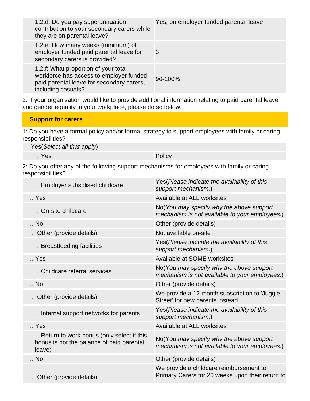| 1.2.d: Do you pay superannuation<br>contribution to your secondary carers while<br>they are on parental leave?                                     | Yes, on employer funded parental leave |
|----------------------------------------------------------------------------------------------------------------------------------------------------|----------------------------------------|
| 1.2.e: How many weeks (minimum) of<br>employer funded paid parental leave for<br>secondary carers is provided?                                     | 3                                      |
| 1.2.f: What proportion of your total<br>workforce has access to employer funded<br>paid parental leave for secondary carers,<br>including casuals? | 90-100%                                |

2: If your organisation would like to provide additional information relating to paid parental leave and gender equality in your workplace, please do so below.

#### **Support for carers**

1: Do you have a formal policy and/or formal strategy to support employees with family or caring responsibilities?

Yes(Select all that apply)

…Yes Policy

2: Do you offer any of the following support mechanisms for employees with family or caring responsibilities?

| Employer subsidised childcare                                                                    | Yes(Please indicate the availability of this<br>support mechanism.)                         |
|--------------------------------------------------------------------------------------------------|---------------------------------------------------------------------------------------------|
| $$ Yes                                                                                           | Available at ALL worksites                                                                  |
| On-site childcare                                                                                | No(You may specify why the above support<br>mechanism is not available to your employees.)  |
| $$ No                                                                                            | Other (provide details)                                                                     |
| Other (provide details)                                                                          | Not available on-site                                                                       |
| Breastfeeding facilities                                                                         | Yes (Please indicate the availability of this<br>support mechanism.)                        |
| $$ Yes                                                                                           | Available at SOME worksites                                                                 |
| Childcare referral services                                                                      | No(You may specify why the above support<br>mechanism is not available to your employees.)  |
| $$ No                                                                                            | Other (provide details)                                                                     |
| Other (provide details)                                                                          | We provide a 12 month subscription to 'Juggle<br>Street' for new parents instead.           |
| Internal support networks for parents                                                            | Yes(Please indicate the availability of this<br>support mechanism.)                         |
| $$ Yes                                                                                           | Available at ALL worksites                                                                  |
| Return to work bonus (only select if this<br>bonus is not the balance of paid parental<br>leave) | No(You may specify why the above support<br>mechanism is not available to your employees.)  |
| $$ No                                                                                            | Other (provide details)                                                                     |
| Other (provide details)                                                                          | We provide a childcare reimbursement to<br>Primary Carers for 26 weeks upon their return to |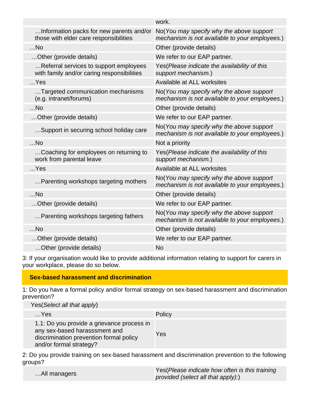|                                                                                      | work.                                                                                      |
|--------------------------------------------------------------------------------------|--------------------------------------------------------------------------------------------|
| Information packs for new parents and/or<br>those with elder care responsibilities   | No(You may specify why the above support<br>mechanism is not available to your employees.) |
| $$ No                                                                                | Other (provide details)                                                                    |
| Other (provide details)                                                              | We refer to our EAP partner.                                                               |
| Referral services to support employees<br>with family and/or caring responsibilities | Yes(Please indicate the availability of this<br>support mechanism.)                        |
| $$ Yes                                                                               | Available at ALL worksites                                                                 |
| Targeted communication mechanisms<br>(e.g. intranet/forums)                          | No(You may specify why the above support<br>mechanism is not available to your employees.) |
| $$ No                                                                                | Other (provide details)                                                                    |
| Other (provide details)                                                              | We refer to our EAP partner.                                                               |
| Support in securing school holiday care                                              | No(You may specify why the above support<br>mechanism is not available to your employees.) |
| $$ No                                                                                | Not a priority                                                                             |
| Coaching for employees on returning to<br>work from parental leave                   | Yes(Please indicate the availability of this<br>support mechanism.)                        |
| $$ Yes                                                                               | Available at ALL worksites                                                                 |
| Parenting workshops targeting mothers                                                | No(You may specify why the above support<br>mechanism is not available to your employees.) |
| $$ No                                                                                | Other (provide details)                                                                    |
| Other (provide details)                                                              | We refer to our EAP partner.                                                               |
| Parenting workshops targeting fathers                                                | No(You may specify why the above support<br>mechanism is not available to your employees.) |
| $$ No                                                                                | Other (provide details)                                                                    |
| Other (provide details)                                                              | We refer to our EAP partner.                                                               |
| Other (provide details)                                                              | <b>No</b>                                                                                  |

3: If your organisation would like to provide additional information relating to support for carers in your workplace, please do so below.

#### **Sex-based harassment and discrimination**

1: Do you have a formal policy and/or formal strategy on sex-based harassment and discrimination prevention?

Yes(Select all that apply) …Yes Policy 1.1: Do you provide a grievance process in any sex-based harasssment and discrimination prevention formal policy and/or formal strategy? Yes

2: Do you provide training on sex-based harassment and discrimination prevention to the following groups?

|              | Yes (Please indicate how often is this training |
|--------------|-------------------------------------------------|
| All managers | provided (select all that apply):)              |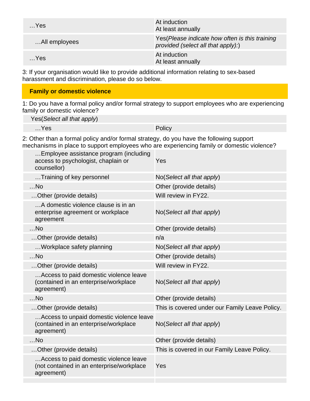| $$ Yes        | At induction<br>At least annually                                                     |
|---------------|---------------------------------------------------------------------------------------|
| All employees | Yes (Please indicate how often is this training<br>provided (select all that apply):) |
| $$ Yes        | At induction<br>At least annually                                                     |

3: If your organisation would like to provide additional information relating to sex-based harassment and discrimination, please do so below.

### **Family or domestic violence**

1: Do you have a formal policy and/or formal strategy to support employees who are experiencing family or domestic violence?

Yes(Select all that apply)

…Yes Policy

2: Other than a formal policy and/or formal strategy, do you have the following support mechanisms in place to support employees who are experiencing family or domestic violence?

| Employee assistance program (including<br>access to psychologist, chaplain or<br>counsellor)      | Yes                                            |
|---------------------------------------------------------------------------------------------------|------------------------------------------------|
| Training of key personnel                                                                         | No(Select all that apply)                      |
| $$ No                                                                                             | Other (provide details)                        |
| Other (provide details)                                                                           | Will review in FY22.                           |
| A domestic violence clause is in an<br>enterprise agreement or workplace<br>agreement             | No(Select all that apply)                      |
| $$ No                                                                                             | Other (provide details)                        |
| Other (provide details)                                                                           | n/a                                            |
| Workplace safety planning                                                                         | No(Select all that apply)                      |
| $$ No                                                                                             | Other (provide details)                        |
| Other (provide details)                                                                           | Will review in FY22.                           |
| Access to paid domestic violence leave<br>(contained in an enterprise/workplace<br>agreement)     | No(Select all that apply)                      |
| $$ No                                                                                             | Other (provide details)                        |
| Other (provide details)                                                                           | This is covered under our Family Leave Policy. |
| Access to unpaid domestic violence leave<br>(contained in an enterprise/workplace<br>agreement)   | No(Select all that apply)                      |
| $$ No                                                                                             | Other (provide details)                        |
| Other (provide details)                                                                           | This is covered in our Family Leave Policy.    |
| Access to paid domestic violence leave<br>(not contained in an enterprise/workplace<br>agreement) | Yes                                            |
|                                                                                                   |                                                |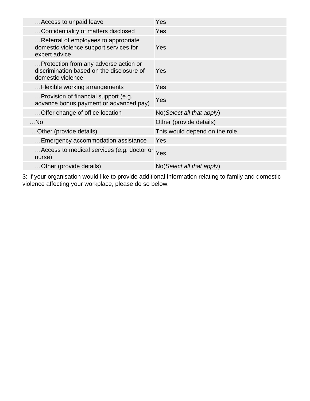| Access to unpaid leave                                                                                  | Yes                                  |
|---------------------------------------------------------------------------------------------------------|--------------------------------------|
| Confidentiality of matters disclosed                                                                    | Yes                                  |
| Referral of employees to appropriate<br>domestic violence support services for<br>expert advice         | Yes                                  |
| Protection from any adverse action or<br>discrimination based on the disclosure of<br>domestic violence | Yes                                  |
| Flexible working arrangements                                                                           | Yes                                  |
| Provision of financial support (e.g.<br>advance bonus payment or advanced pay)                          | Yes                                  |
| Offer change of office location                                                                         | $No(Select \textit{all} that apply)$ |
| $$ No                                                                                                   | Other (provide details)              |
| Other (provide details)                                                                                 | This would depend on the role.       |
| Emergency accommodation assistance                                                                      | Yes                                  |
| Access to medical services (e.g. doctor or<br>nurse)                                                    | Yes                                  |
| Other (provide details)                                                                                 | $No(Select \textit{all} that apply)$ |

3: If your organisation would like to provide additional information relating to family and domestic violence affecting your workplace, please do so below.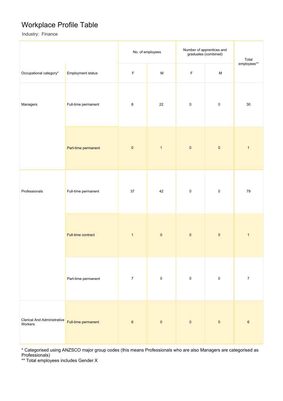### Workplace Profile Table

Industry: Finance

|                                               |                     | No. of employees |                                                                                                            | Number of apprentices and<br>graduates (combined) | Total     |                  |
|-----------------------------------------------|---------------------|------------------|------------------------------------------------------------------------------------------------------------|---------------------------------------------------|-----------|------------------|
| Occupational category*                        | Employment status   | $\mathsf F$      | $\mathsf{M}% _{T}=\mathsf{M}_{T}\!\left( a,b\right) ,\ \mathsf{M}_{T}=\mathsf{M}_{T}\!\left( a,b\right) ,$ | $\mathsf F$                                       | ${\sf M}$ | employees**      |
| Managers                                      | Full-time permanent | $\bf 8$          | 22                                                                                                         | $\pmb{0}$                                         | $\pmb{0}$ | $30\,$           |
|                                               | Part-time permanent | $\pmb{0}$        | $\overline{1}$                                                                                             | $\pmb{0}$                                         | $\pmb{0}$ | $\mathbf{1}$     |
| Professionals                                 | Full-time permanent | $37\,$           | 42                                                                                                         | $\pmb{0}$                                         | $\pmb{0}$ | $\bf 79$         |
|                                               | Full-time contract  |                  | $\pmb{0}$                                                                                                  | $\pmb{0}$                                         | $\pmb{0}$ | $\mathbf{1}$     |
| Part-time permanent                           |                     | $\boldsymbol{7}$ | $\pmb{0}$                                                                                                  | $\pmb{0}$                                         | $\pmb{0}$ | $\boldsymbol{7}$ |
| <b>Clerical And Administrative</b><br>Workers | Full-time permanent | $\boldsymbol{6}$ | $\pmb{0}$                                                                                                  | $\pmb{0}$                                         | $\pmb{0}$ | $\,6\,$          |

\* Categorised using ANZSCO major group codes (this means Professionals who are also Managers are categorised as Professionals)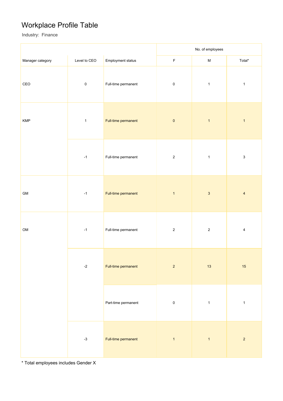## Workplace Profile Table

Industry: Finance

|                                                                           |                             |                     | No. of employees |              |                           |
|---------------------------------------------------------------------------|-----------------------------|---------------------|------------------|--------------|---------------------------|
| Manager category                                                          | Level to CEO                | Employment status   | $\mathsf F$      | ${\sf M}$    | Total*                    |
| $\mathsf{CEO}% \left( \mathcal{N}\right) \equiv\mathsf{Geo}(\mathcal{N})$ | $\pmb{0}$                   | Full-time permanent | $\pmb{0}$        | $\mathbf{1}$ | $\mathbf{1}$              |
| <b>KMP</b>                                                                | $\mathbf 1$                 | Full-time permanent | $\pmb{0}$        | $\mathbf{1}$ | $\mathbf{1}$              |
|                                                                           | $-1$                        | Full-time permanent | $\sqrt{2}$       | $\mathbf 1$  | $\ensuremath{\mathsf{3}}$ |
| ${\sf GM}$                                                                | $-1$                        | Full-time permanent | $\mathbf{1}$     | $\sqrt{3}$   | $\overline{4}$            |
| OM                                                                        | $-1$                        | Full-time permanent | $\overline{2}$   | $\sqrt{2}$   | $\overline{4}$            |
|                                                                           | $-2$<br>Full-time permanent |                     | $\overline{2}$   | 13           | 15                        |
|                                                                           |                             | Part-time permanent | $\pmb{0}$        | $\mathbf{1}$ | $\mathbf{1}$              |
|                                                                           | $-3$                        | Full-time permanent | $\overline{1}$   | $\mathbf{1}$ | $\overline{2}$            |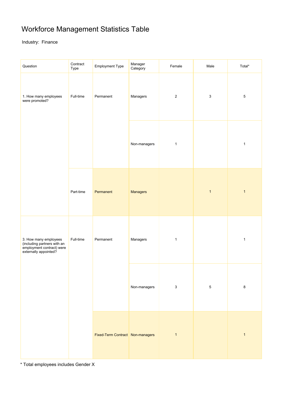## Workforce Management Statistics Table

Industry: Finance

| Question                                                                                                   | Contract<br>Type | <b>Employment Type</b>           | Manager<br>Category | Female       | Male                      | Total*       |
|------------------------------------------------------------------------------------------------------------|------------------|----------------------------------|---------------------|--------------|---------------------------|--------------|
| 1. How many employees<br>were promoted?                                                                    | Full-time        | Permanent                        | Managers            | $\sqrt{2}$   | $\ensuremath{\mathsf{3}}$ | $\,$ 5 $\,$  |
|                                                                                                            |                  | Non-managers                     | $\mathbf{1}$        |              | $\mathbf{1}$              |              |
|                                                                                                            | Part-time        | Permanent                        | <b>Managers</b>     |              | $\mathbf{1}$              | $\mathbf{1}$ |
| 3. How many employees<br>(including partners with an<br>employment contract) were<br>externally appointed? | Full-time        | Permanent                        | Managers            | $\mathbf{1}$ |                           | $\mathbf{1}$ |
|                                                                                                            |                  |                                  | Non-managers        | $\mathbf{3}$ | $\sqrt{5}$                | $\,8\,$      |
|                                                                                                            |                  | Fixed-Term Contract Non-managers |                     | $\mathbf{1}$ |                           | $\mathbf{1}$ |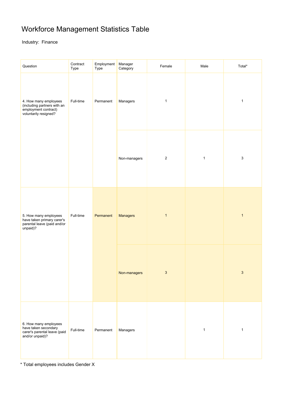## Workforce Management Statistics Table

Industry: Finance

| Question                                                                                              | Contract<br>Type | Employment<br>Type | Manager<br>Category | Female                    | Male         | Total*                    |
|-------------------------------------------------------------------------------------------------------|------------------|--------------------|---------------------|---------------------------|--------------|---------------------------|
| 4. How many employees<br>(including partners with an<br>employment contract)<br>voluntarily resigned? | Full-time        | Permanent          | Managers            | $\mathbf{1}$              |              | $\mathbf{1}$              |
|                                                                                                       |                  |                    | Non-managers        | $\overline{c}$            | $\mathbf{1}$ | $\ensuremath{\mathsf{3}}$ |
| 5. How many employees<br>have taken primary carer's<br>parental leave (paid and/or<br>unpaid)?        | Full-time        | Permanent          | Managers            | $\mathbf{1}$              |              | $\mathbf{1}$              |
|                                                                                                       |                  |                    | Non-managers        | $\ensuremath{\mathsf{3}}$ |              | $\mathbf{3}$              |
| 6. How many employees<br>have taken secondary<br>carer's parental leave (paid<br>and/or unpaid)?      | Full-time        | Permanent          | Managers            |                           | $\mathbf{1}$ | $\mathbf{1}$              |